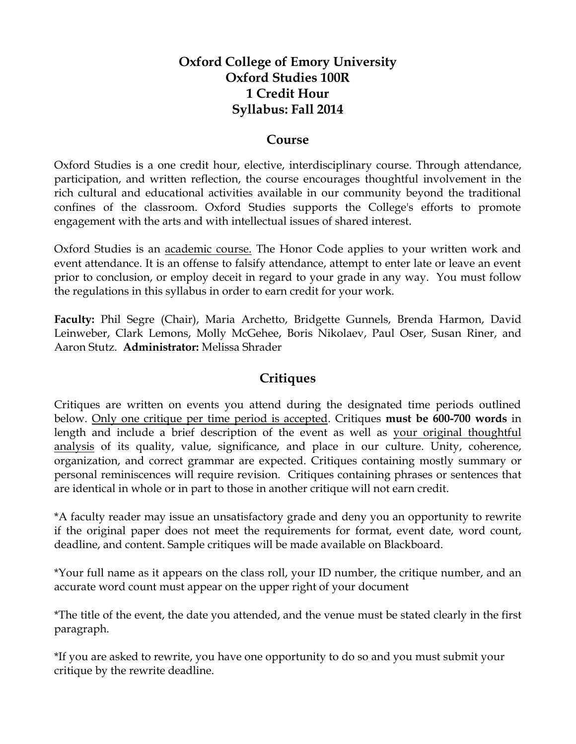## **Oxford College of Emory University Oxford Studies 100R 1 Credit Hour Syllabus: Fall 2014**

#### **Course**

Oxford Studies is a one credit hour, elective, interdisciplinary course. Through attendance, participation, and written reflection, the course encourages thoughtful involvement in the rich cultural and educational activities available in our community beyond the traditional confines of the classroom. Oxford Studies supports the College's efforts to promote engagement with the arts and with intellectual issues of shared interest.

Oxford Studies is an academic course. The Honor Code applies to your written work and event attendance. It is an offense to falsify attendance, attempt to enter late or leave an event prior to conclusion, or employ deceit in regard to your grade in any way. You must follow the regulations in this syllabus in order to earn credit for your work.

**Faculty:** Phil Segre (Chair), Maria Archetto, Bridgette Gunnels, Brenda Harmon, David Leinweber, Clark Lemons, Molly McGehee, Boris Nikolaev, Paul Oser, Susan Riner, and Aaron Stutz. **Administrator:** Melissa Shrader

### **Critiques**

Critiques are written on events you attend during the designated time periods outlined below. Only one critique per time period is accepted. Critiques **must be 600-700 words** in length and include a brief description of the event as well as your original thoughtful analysis of its quality, value, significance, and place in our culture. Unity, coherence, organization, and correct grammar are expected. Critiques containing mostly summary or personal reminiscences will require revision. Critiques containing phrases or sentences that are identical in whole or in part to those in another critique will not earn credit.

\*A faculty reader may issue an unsatisfactory grade and deny you an opportunity to rewrite if the original paper does not meet the requirements for format, event date, word count, deadline, and content. Sample critiques will be made available on Blackboard.

\*Your full name as it appears on the class roll, your ID number, the critique number, and an accurate word count must appear on the upper right of your document

\*The title of the event, the date you attended, and the venue must be stated clearly in the first paragraph.

\*If you are asked to rewrite, you have one opportunity to do so and you must submit your critique by the rewrite deadline.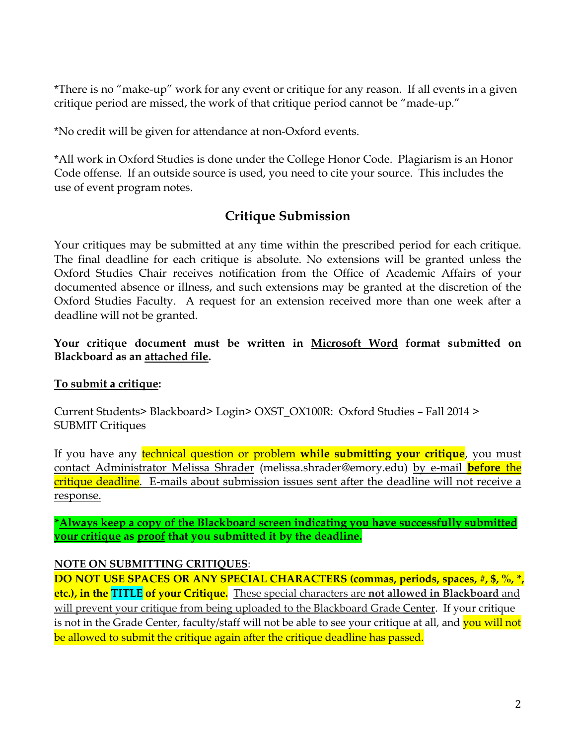\*There is no "make-up" work for any event or critique for any reason. If all events in a given critique period are missed, the work of that critique period cannot be "made-up."

\*No credit will be given for attendance at non-Oxford events.

\*All work in Oxford Studies is done under the College Honor Code. Plagiarism is an Honor Code offense. If an outside source is used, you need to cite your source. This includes the use of event program notes.

## **Critique Submission**

Your critiques may be submitted at any time within the prescribed period for each critique. The final deadline for each critique is absolute. No extensions will be granted unless the Oxford Studies Chair receives notification from the Office of Academic Affairs of your documented absence or illness, and such extensions may be granted at the discretion of the Oxford Studies Faculty. A request for an extension received more than one week after a deadline will not be granted.

#### **Your critique document must be written in Microsoft Word format submitted on Blackboard as an attached file.**

#### **To submit a critique:**

Current Students> Blackboard> Login> OXST\_OX100R: Oxford Studies – Fall 2014 > SUBMIT Critiques

If you have any technical question or problem **while submitting your critique**, you must contact Administrator Melissa Shrader (melissa.shrader@emory.edu) by e-mail **before** the critique deadline. E-mails about submission issues sent after the deadline will not receive a response.

**\*Always keep a copy of the Blackboard screen indicating you have successfully submitted your critique as proof that you submitted it by the deadline.**

#### **NOTE ON SUBMITTING CRITIQUES**:

**DO NOT USE SPACES OR ANY SPECIAL CHARACTERS (commas, periods, spaces, #, \$, %, \*, etc.), in the TITLE of your Critique.** These special characters are **not allowed in Blackboard** and will prevent your critique from being uploaded to the Blackboard Grade Center. If your critique is not in the Grade Center, faculty/staff will not be able to see your critique at all, and you will not be allowed to submit the critique again after the critique deadline has passed.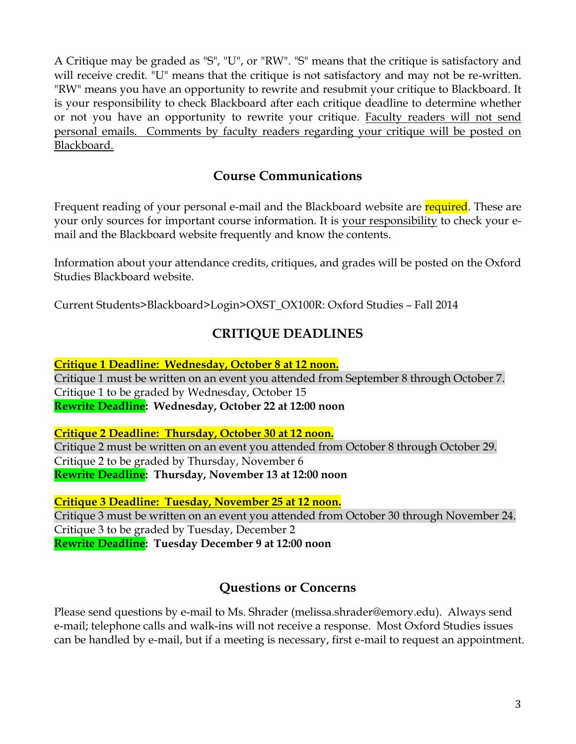A Critique may be graded as "S", "U", or "RW". "S" means that the critique is satisfactory and will receive credit. "U" means that the critique is not satisfactory and may not be re-written. "RW" means you have an opportunity to rewrite and resubmit your critique to Blackboard. It is your responsibility to check Blackboard after each critique deadline to determine whether or not you have an opportunity to rewrite your critique. Faculty readers will not send personal emails. Comments by faculty readers regarding your critique will be posted on Blackboard.

## **Course Communications**

Frequent reading of your personal e-mail and the Blackboard website are required. These are your only sources for important course information. It is your responsibility to check your email and the Blackboard website frequently and know the contents.

Information about your attendance credits, critiques, and grades will be posted on the Oxford Studies Blackboard website.

Current Students>Blackboard>Login>OXST\_OX100R: Oxford Studies – Fall 2014

## **CRITIQUE DEADLINES**

**Critique 1 Deadline: Wednesday, October 8 at 12 noon.** Critique 1 must be written on an event you attended from September 8 through October 7. Critique 1 to be graded by Wednesday, October 15 **Rewrite Deadline: Wednesday, October 22 at 12:00 noon**

**Critique 2 Deadline: Thursday, October 30 at 12 noon.** Critique 2 must be written on an event you attended from October 8 through October 29. Critique 2 to be graded by Thursday, November 6 **Rewrite Deadline: Thursday, November 13 at 12:00 noon**

**Critique 3 Deadline: Tuesday, November 25 at 12 noon.** Critique 3 must be written on an event you attended from October 30 through November 24. Critique 3 to be graded by Tuesday, December 2 **Rewrite Deadline: Tuesday December 9 at 12:00 noon**

# **Questions or Concerns**

Please send questions by e-mail to Ms. Shrader (melissa.shrader@emory.edu). Always send e-mail; telephone calls and walk-ins will not receive a response. Most Oxford Studies issues can be handled by e-mail, but if a meeting is necessary, first e-mail to request an appointment.